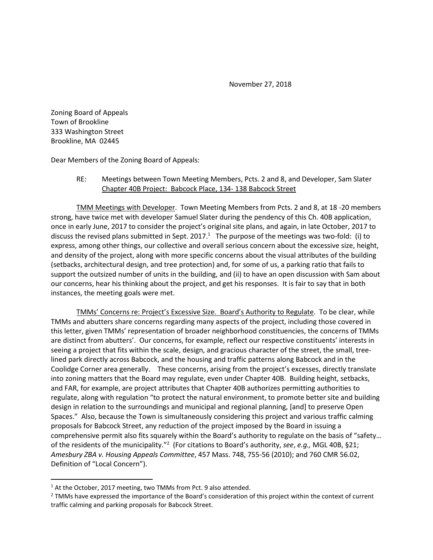November 27, 2018

Zoning Board of Appeals Town of Brookline 333 Washington Street Brookline, MA 02445

Dear Members of the Zoning Board of Appeals:

RE: Meetings between Town Meeting Members, Pcts. 2 and 8, and Developer, Sam Slater Chapter 40B Project: Babcock Place, 134- 138 Babcock Street

TMM Meetings with Developer. Town Meeting Members from Pcts. 2 and 8, at 18 -20 members strong, have twice met with developer Samuel Slater during the pendency of this Ch. 40B application, once in early June, 2017 to consider the project's original site plans, and again, in late October, 2017 to discuss the revised plans submitted in Sept. 2017.<sup>1</sup> The purpose of the meetings was two-fold: (i) to express, among other things, our collective and overall serious concern about the excessive size, height, and density of the project, along with more specific concerns about the visual attributes of the building (setbacks, architectural design, and tree protection) and, for some of us, a parking ratio that fails to support the outsized number of units in the building, and (ii) to have an open discussion with Sam about our concerns, hear his thinking about the project, and get his responses. It is fair to say that in both instances, the meeting goals were met.

TMMs' Concerns re: Project's Excessive Size. Board's Authority to Regulate. To be clear, while TMMs and abutters share concerns regarding many aspects of the project, including those covered in this letter, given TMMs' representation of broader neighborhood constituencies, the concerns of TMMs are distinct from abutters'. Our concerns, for example, reflect our respective constituents' interests in seeing a project that fits within the scale, design, and gracious character of the street, the small, treelined park directly across Babcock, and the housing and traffic patterns along Babcock and in the Coolidge Corner area generally. These concerns, arising from the project's excesses, directly translate into zoning matters that the Board may regulate, even under Chapter 40B. Building height, setbacks, and FAR, for example, are project attributes that Chapter 40B authorizes permitting authorities to regulate, along with regulation "to protect the natural environment, to promote better site and building design in relation to the surroundings and municipal and regional planning, [and] to preserve Open Spaces." Also, because the Town is simultaneously considering this project and various traffic calming proposals for Babcock Street, any reduction of the project imposed by the Board in issuing a comprehensive permit also fits squarely within the Board's authority to regulate on the basis of "safety… of the residents of the municipality."<sup>2</sup> (For citations to Board's authority, *see*, *e.g.,* MGL 40B, §21; *Amesbury ZBA v. Housing Appeals Committee*, 457 Mass. 748, 755-56 (2010); and 760 CMR 56.02, Definition of "Local Concern").

 $\overline{\phantom{a}}$ 

<sup>&</sup>lt;sup>1</sup> At the October, 2017 meeting, two TMMs from Pct. 9 also attended.

<sup>&</sup>lt;sup>2</sup> TMMs have expressed the importance of the Board's consideration of this project within the context of current traffic calming and parking proposals for Babcock Street.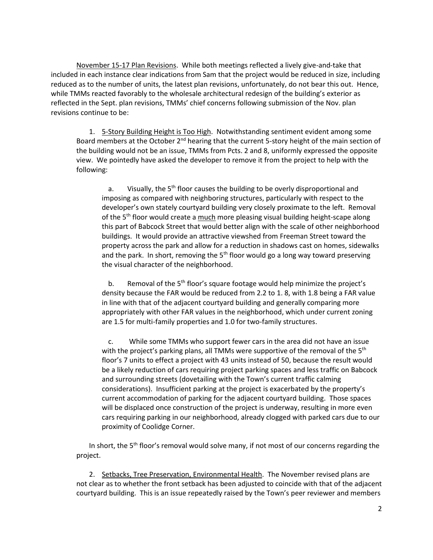November 15-17 Plan Revisions. While both meetings reflected a lively give-and-take that included in each instance clear indications from Sam that the project would be reduced in size, including reduced as to the number of units, the latest plan revisions, unfortunately, do not bear this out. Hence, while TMMs reacted favorably to the wholesale architectural redesign of the building's exterior as reflected in the Sept. plan revisions, TMMs' chief concerns following submission of the Nov. plan revisions continue to be:

1. 5-Story Building Height is Too High. Notwithstanding sentiment evident among some Board members at the October  $2^{nd}$  hearing that the current 5-story height of the main section of the building would not be an issue, TMMs from Pcts. 2 and 8, uniformly expressed the opposite view. We pointedly have asked the developer to remove it from the project to help with the following:

a. Visually, the  $5<sup>th</sup>$  floor causes the building to be overly disproportional and imposing as compared with neighboring structures, particularly with respect to the developer's own stately courtyard building very closely proximate to the left. Removal of the 5<sup>th</sup> floor would create a  $\frac{much}{m}$  more pleasing visual building height-scape along this part of Babcock Street that would better align with the scale of other neighborhood buildings. It would provide an attractive viewshed from Freeman Street toward the property across the park and allow for a reduction in shadows cast on homes, sidewalks and the park. In short, removing the  $5<sup>th</sup>$  floor would go a long way toward preserving the visual character of the neighborhood.

b. Removal of the 5<sup>th</sup> floor's square footage would help minimize the project's density because the FAR would be reduced from 2.2 to 1. 8, with 1.8 being a FAR value in line with that of the adjacent courtyard building and generally comparing more appropriately with other FAR values in the neighborhood, which under current zoning are 1.5 for multi-family properties and 1.0 for two-family structures.

c. While some TMMs who support fewer cars in the area did not have an issue with the project's parking plans, all TMMs were supportive of the removal of the  $5<sup>th</sup>$ floor's 7 units to effect a project with 43 units instead of 50, because the result would be a likely reduction of cars requiring project parking spaces and less traffic on Babcock and surrounding streets (dovetailing with the Town's current traffic calming considerations). Insufficient parking at the project is exacerbated by the property's current accommodation of parking for the adjacent courtyard building. Those spaces will be displaced once construction of the project is underway, resulting in more even cars requiring parking in our neighborhood, already clogged with parked cars due to our proximity of Coolidge Corner.

In short, the 5<sup>th</sup> floor's removal would solve many, if not most of our concerns regarding the project.

2. Setbacks, Tree Preservation, Environmental Health. The November revised plans are not clear as to whether the front setback has been adjusted to coincide with that of the adjacent courtyard building. This is an issue repeatedly raised by the Town's peer reviewer and members